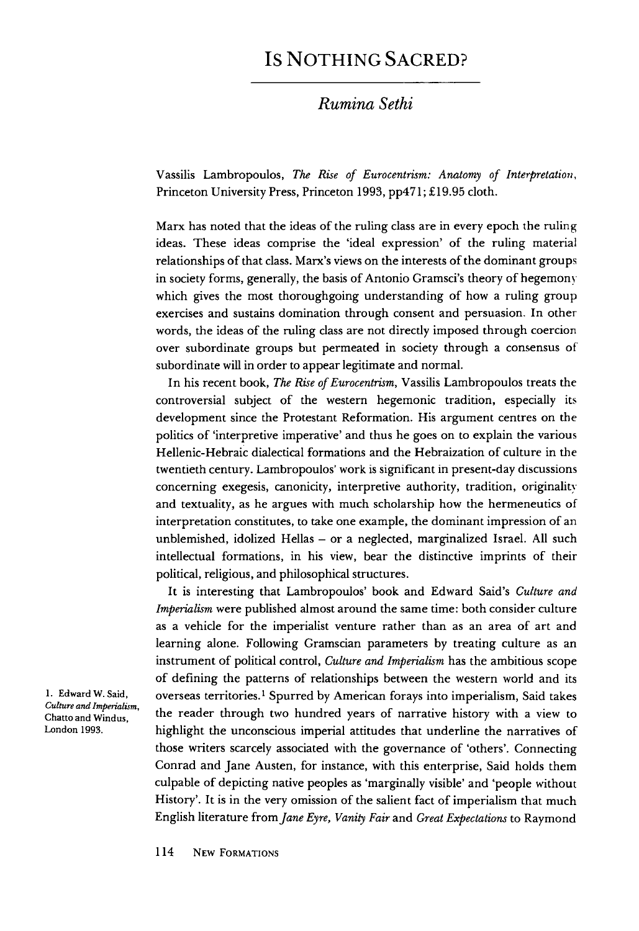## IS NOTHING SACRED?

#### **Rumina Sethi**

*Vassilis Lambropoulos, The Rise of Eurocentrism: Anatomy of Interpretation, Princeton University Press, Princeton 1993, pp471; £19.95 cloth.*

*Marx has noted that the ideas of the ruling class are in every epoch the ruling ideas. These ideas comprise the 'ideal expression' of the ruling material relationships ofthat class. Marx's views on the interests ofthe dominant groups in society forms, generally, the basis of Antonio Gramsci's theory of hegemony which gives the most thoroughgoing understanding of how a ruling group exercises and sustains domination through consent and persuasion. In other words, the ideas of the ruling class are not directly imposed through coercion over subordinate groups but permeated in society through a consensus of subordinate will in order to appear legitimate and normal.*

*In his recent book, The Rise of Eurocentrism, Vassilis Lambropoulos treats the controversial subject of the western hegemonic tradition, especially its development since the Protestant Reformation. His argument centres on the politics of 'interpretive imperative' and thus he goes on to explain the various Hellenic-Hebraic dialectical formations and the Hebraization of culture in the twentieth century. Lambropoulos' work is significant in present-day discussions concerning exegesis, canonicity, interpretive authority, tradition, originality and textuality, as he argues with much scholarship how the hermeneutics of interpretation constitutes, to take one example, the dominant impression of an unblemished, idolized Hellas - or a neglected, marginalized Israel. All such intellectual formations, in his view, bear the distinctive imprints of their political, religious, and philosophical structures.*

*It is interesting that Lambropoulos' book and Edward Said's Culture and Imperialism were published almost around the same time: both consider culture as a vehicle for the imperialist venture rather than as an area of art and learning alone. Following Gramscian parameters by treating culture as an instrument of political control, Culture and Imperialism has the ambitious scope of defining the patterns of relationships between the western world and its overseas territories.1 Spurred by American forays into imperialism, Said takes the reader through two hundred years of narrative history with a view to highlight the unconscious imperial attitudes that underline the narratives of those writers scarcely associated with the governance of 'others'. Connecting Conrad and Jane Austen, for instance, with this enterprise, Said holds them culpable of depicting native peoplesas'marginally visible' and 'people without History'. It is in the very omission of the salient fact of imperialism that much English literature from Jane Eyre, Vanity Fair and Great Expectations to Raymond*

*1. Edward W. Said, Culture andImperialism, Chatto and Windus, London 1993.*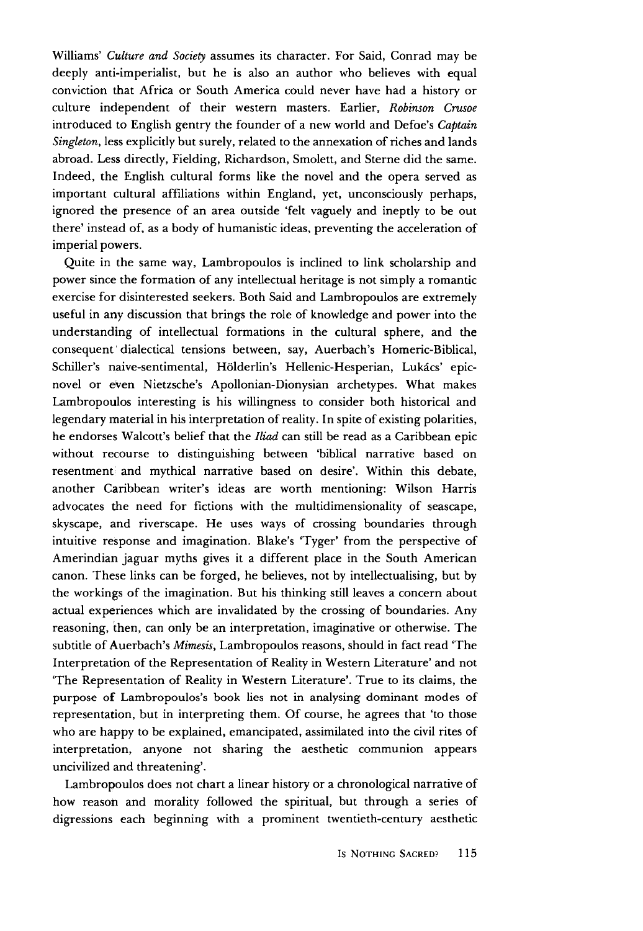Williams' **Culture and Society** assumes its character. For Said, Conrad may be deeply anti-imperialist, but he is also an author who believes with equal conviction that Africa or South America could never have had a history or culture independent of their western masters. Earlier, **Robinson Crusoe** introduced to English gentry the founder of a new world and Defoe's **Captain** Singleton, less explicitly but surely, related to the annexation of riches and lands abroad. Less directly, Fielding, Richardson, Smolett, and Sterne did the same. Indeed, the English cultural forms like the novel and the opera served as important cultural affiliations within England, yet, unconsciously perhaps, ignored the presence of an area outside 'felt vaguely and ineptly to be out there' instead of, as a body of humanistic ideas, preventing the acceleration of imperial powers.

Quite in the same way, Lambropoulos is inclined to link scholarship and power since the formation of any intellectual heritage is not simply a romantic exercise for disinterested seekers. Both Said and Lambropoulos are extremely useful in any discussion that brings the role of knowledge and power into the understanding of intellectual formations in the cultural sphere, and the consequent dialectical tensions between, say, Auerbach's Homeric-Biblical, Schiller's naive-sentimental, Hölderlin's Hellenic-Hesperian, Lukács' epicnovel or even Nietzsche's Apollonian-Dionysian archetypes. What makes Lambropoulos interesting is his willingness to consider both historical and legendary material in his interpretation of reality. In spite of existing polarities, he endorses Walcott's belief that the **Iliad** can still be read as a Caribbean epic without recourse to distinguishing between 'biblical narrative based on resentment and mythical narrative based on desire'. Within this debate, another Caribbean writer's ideas are worth mentioning: Wilson Harris advocates the need for fictions with the multidimensionality of seascape, skyscape, and riverscape. He uses ways of crossing boundaries through intuitive response and imagination. Blake's 'Tyger' from the perspective of Amerindian jaguar myths gives it a different place in the South American canon. These links can be forged, he believes, not by intellectualising, but by the workings of the imagination. But his thinking still leaves a concern about actual experiences which are invalidated by the crossing of boundaries. Any reasoning, then, can only be an interpretation, imaginative or otherwise. The subtitle of Auerbach's **Mimesis,** Lambropoulos reasons, should in fact read 'The Interpretation of the Representation of Reality in Western Literature' and not 'The Representation of Reality in Western Literature'. True to its claims, the purpose of Lambropoulos's book lies not in analysing dominant modes of representation, but in interpreting them. Of course, he agrees that 'to those who are happy to be explained, emancipated, assimilated into the civil rites of interpretation, anyone not sharing the aesthetic communion appears uncivilized and threatening'.

Lambropoulos does not chart a linear history or a chronological narrative of how reason and morality followed the spiritual, but through a series of digressions each beginning with a prominent twentieth-century aesthetic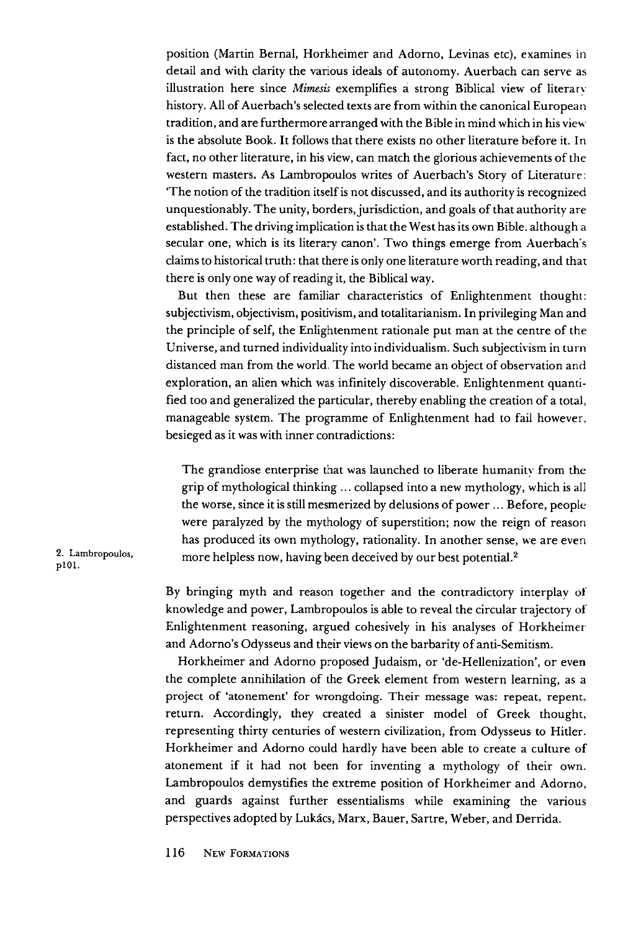position (Martin Bernal, Horkheimer and Adorno, Levinas etc), examines in detail and with clarity the various ideals of autonomy. Auerbach can serve as illustration here since **Mimesis** exemplifies a strong Biblical view of literary history. Allof Auerbach's selected texts are from within the canonical European tradition, and are furthermore arranged with the Bible in mind which in his view is the absolute Book. It follows that there exists no other literature before it. In fact, no other literature, in his view, can match the glorious achievements of the western masters. As Lambropoulos writes of Auerbach's Story of Literature: 'The notion of the tradition itself is not discussed, and its authority isrecognized unquestionably. The unity, borders, jurisdiction, and goals of that authority are established. The driving implication isthat the West has its own Bible, although a secular one, which is its literary canon'. Two things emerge from Auerbach's claims to historical truth: that there isonly one literature worth reading, and that there is only one way of reading it, the Biblical way.

But then these are familiar characteristics of Enlightenment thought: subjectivism, objectivism, positivism, and totalitarianism. In privileging Man and the principle of self, the Enlightenment rationale put man at the centre of the Universe, and turned individuality into individualism. Such subjectivism in turn distanced man from the world. The world became an object of observation and exploration, an alien which was infinitely discoverable. Enlightenment quanti fied too and generalized the particular, thereby enabling the creation of a total, manageable system. The programme of Enlightenment had to fail however, besieged as it was with inner contradictions:

The grandiose enterprise that was launched to liberate humanity from the grip of mythological thinking ... collapsed into a new mythology, which is all the worse, since it is still mesmerized by delusions of power ... Before, people were paralyzed by the mythology of superstition; now the reign of reason has produced its own mythology, rationality. In another sense, we are even 2. Lambropoulos, more helpless now, having been deceived by our best potential.<sup>2</sup>  $p101$ .

> By bringing myth and reason together and the contradictory interplay of knowledge and power, Lambropoulos is able to reveal the circular trajectory of Enlightenment reasoning, argued cohesively in his analyses of Horkheimer and Adorno's Odysseus and their viewson the barbarity of anti-Semitism.

> Horkheimer and Adorno proposed Judaism, or 'de-Hellenization', or even the complete annihilation of the Greek element from western learning, as a project of 'atonement' for wrongdoing. Their message was: repeat, repent, return. Accordingly, they created a sinister model of Greek thought, representing thirty centuries of western civilization, from Odysseus to Hitler. Horkheimer and Adorno could hardly have been able to create a culture of atonement if it had not been for inventing a mythology of their own. Lambropoulos demystifies the extreme position of Horkheimer and Adorno, and guards against further essentialisms while examining the various perspectives adopted by Lukacs, Marx, Bauer, Sartre, Weber, and Derrida.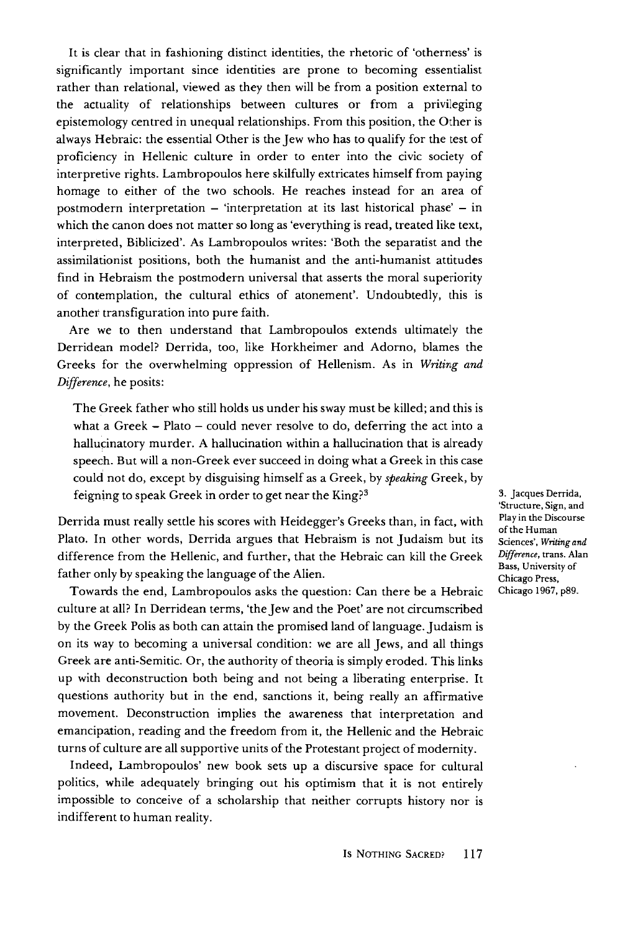It is clear that in fashioning distinct identities, the rhetoric of 'otherness' is significantly important since identities are prone to becoming essentialist rather than relational, viewed as they then will be from a position external to the actuality of relationships between cultures or from a privileging epistemology centred in unequal relationships. From this position, the Other is always Hebraic: the essential Other is the Jew who has to qualify for the test of proficiency in Hellenic culture in order to enter into the civic society of interpretive rights. Lambropoulos here skilfully extricates himself from paying homage to either of the two schools. He reaches instead for an area of postmodern interpretation  $-$  'interpretation at its last historical phase'  $-$  in which the canon does not matter so long as 'everything is read, treated like text, interpreted, Biblicized'. As Lambropoulos writes: 'Both the separatist and the assimilationist positions, both the humanist and the anti-humanist attitudes find in Hebraism the postmodern universal that asserts the moral superiority of contemplation, the cultural ethics of atonement'. Undoubtedly, this is another transfiguration into pure faith.

Are we to then understand that Lambropoulos extends ultimately the Derridean model? Derrida, too, like Horkheimer and Adorno, blames the Greeks for the overwhelming oppression of Hellenism. As in **Writing and Difference,** he posits:

The Greek father who still holds us under his sway must be killed; and this is what a Greek  $-$  Plato  $-$  could never resolve to do, deferring the act into a hallucinatory murder. A hallucination within a hallucination that is already speech. But will a non-Greek ever succeed in doing what a Greek in this case could not do, except by disguising himself as a Greek, by **speaking** Greek, by feigning to speak Greek in order to get near the King?3

Derrida must really settle his scores with Heidegger's Greeks than, in fact, with Plato. In other words, Derrida argues that Hebraism is not Judaism but its difference from the Hellenic, and further, that the Hebraic can kill the Greek father only by speaking the language of the Alien.

Towards the end, Lambropoulos asks the question: Can there be a Hebraic culture at all? In Derridean terms, 'the Jew and the Poet' are not circumscribed by the Greek Polis as both can attain the promised land of language. Judaism is on its way to becoming a universal condition: we are all Jews, and all things Greek are anti-Semitic. Or, the authority of theoria is simply eroded. This links up with deconstruction both being and not being a liberating enterprise. It questions authority but in the end, sanctions it, being really an affirmative movement. Deconstruction implies the awareness that interpretation and emancipation, reading and the freedom from it, the Hellenic and the Hebraic turns of culture are all supportive units of the Protestant project of modernity.

Indeed, Lambropoulos' new book sets up a discursive space for cultural politics, while adequately bringing out his optimism that it is not entirely impossible to conceive of a scholarship that neither corrupts history nor is indifferent to human reality.

*3. Jacques Derrida, 'Structure, Sign, and Play in the Discourse ofthe Human Sciences', Writingand Difference, trans. Alan Bass, University of Chicago Press, Chicago 1967, p89.*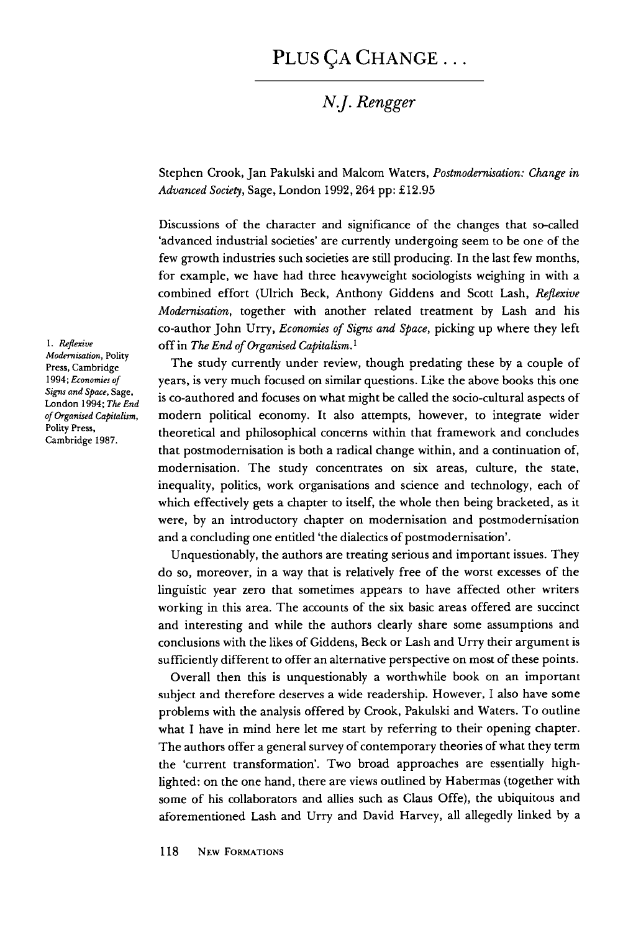# **NJ. Rengger**

*Stephen Crook, Jan Pakulski and Malcom Waters, Postmodernisation: Change in AdvancedSociety, Sage, London 1992, 264 pp: £12.95*

*Discussions of the character and significance of the changes that so-called 'advanced industrial societies' are currendy undergoing seem to be one of the few growth industries such societies are still producing. In the last few months, for example, we have had three heavyweight sociologists weighing in with a combined effort (Ulrich Beck, Anthony Giddens and Scott Lash, Reflexive Modernisation, together with another related treatment by Lash and his co-author John Urry, Economies of Signs and Space, picking up where they left offin The EndofOrganised Capitalism.1*

*The study currently under review, though predating these by a couple of years, is very much focused on similar questions. Like the above books this one is co-authored and focuses on what might be called the socio-cultural aspects of modern political economy. It also attempts, however, to integrate wider theoretical and philosophical concerns within that framework and concludes that postmodernisation is both a radical change within, and a continuation of, modernisation. The study concentrates on six areas, culture, the state, inequality, politics, work organisations and science and technology, each of which effectively gets a chapter to itself, the whole then being bracketed, as it were, by an introductory chapter on modernisation and postmodernisation and a concluding one entitled 'the dialecticsof postmodernisation'.*

*Unquestionably, the authors are treating serious and important issues. They do so, moreover, in a way that is relatively free of the worst excesses of the linguistic year zero that sometimes appears to have affected other writers working in this area. The accounts of the six basic areas offered are succinct and interesting and while the authors clearly share some assumptions and conclusions with the likes of Giddens, Beck or Lash and Urry their argument is sufficiendy different to offer an alternative perspective on most ofthese points.*

*Overall then this is unquestionably a worthwhile book on an important subject and therefore deserves a wide readership. However, I also have some problems with the analysis offered by Crook, Pakulskiand Waters. To outline what I have in mind here let me start by referring to their opening chapter. The authors offer a general survey of contemporary theories ofwhat they term the 'current transformation'. Two broad approaches are essentially high* lighted: on the one hand, there are views outlined by Habermas (together with *some of his collaborators and allies such as Claus Offe), the ubiquitous and aforementioned Lash and Urry and David Harvey, all allegedly linked by a*

1. **Reflexive Modernisation,** Polity Press, Cambridge 1994;**Economies of** Signs and Space, Sage, London 1994; **The End ofOrganised Capitalism,** Polity Press, Cambridge 1987.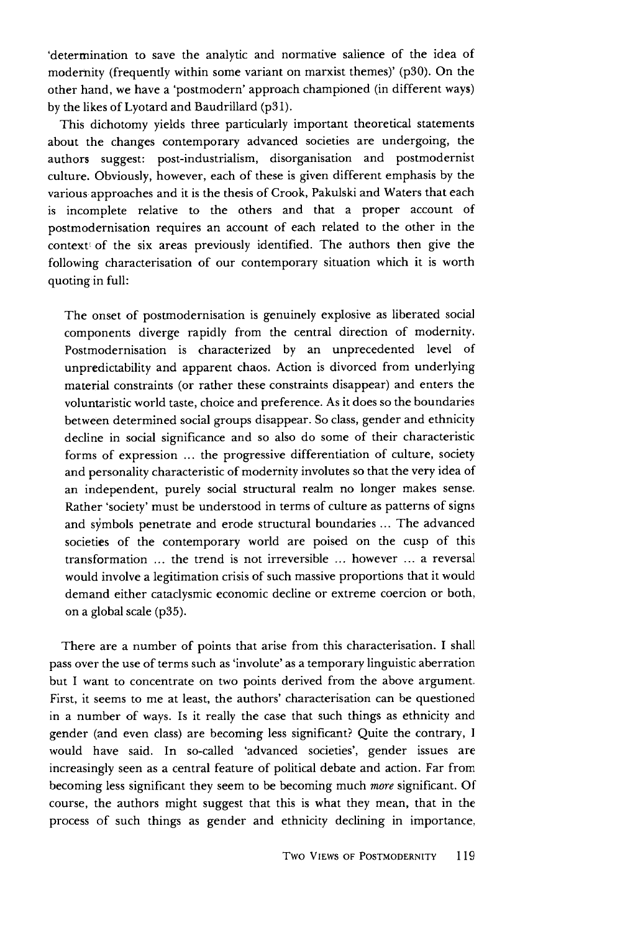'determination to save the analytic and normative salience of the idea of modernity (frequently within some variant on marxist themes)' (p30). On the other hand, we have a 'postmodern' approach championed (in different ways) by the likes of Lyotard and Baudrillard (p31).

This dichotomy yields three particularly important theoretical statements about the changes contemporary advanced societies are undergoing, the authors suggest: post-industrialism, disorganisation and postmodernist culture. Obviously, however, each of these is given different emphasis by the various approaches and it is the thesis of Crook, Pakulski and Waters that each is incomplete relative to the others and that a proper account of postmodernisation requires an account of each related to the other in the context! of the six areas previously identified. The authors then give the following characterisation of our contemporary situation which it is worth quoting in full:

The onset of postmodernisation is genuinely explosive as liberated social components diverge rapidly from the central direction of modernity. Postmodernisation is characterized by an unprecedented level of unpredictability and apparent chaos. Action is divorced from underlying material constraints (or rather these constraints disappear) and enters the voluntaristic world taste, choice and preference. As it does so the boundaries between determined social groups disappear. So class, gender and ethnicity decline in social significance and so also do some of their characteristic forms of expression ... the progressive differentiation of culture, society and personality characteristic of modernity involutes so that the very idea of an independent, purely social structural realm no longer makes sense. Rather 'society' must be understood in terms of culture as patterns of signs and symbols penetrate and erode structural boundaries ... The advanced societies of the contemporary world are poised on the cusp of this transformation ... the trend is not irreversible ... however ... a reversal would involve a legitimation crisis of such massive proportions that it would demand either cataclysmic economic decline or extreme coercion or both, on a global scale (p35).

There are a number of points that arise from this characterisation. I shall pass over the use of terms such as 'involute' as a temporary linguistic aberration but I want to concentrate on two points derived from the above argument. First, it seems to me at least, the authors' characterisation can be questioned in a number of ways. Is it really the case that such things as ethnicity and gender (and even class) are becoming less significant? Quite the contrary, I would have said. In so-called 'advanced societies', gender issues are increasingly seen as a central feature of political debate and action. Far from becoming less significant they seem to be becoming much **more** significant. Of course, the authors might suggest that this is what they mean, that in the process of such things as gender and ethnicity declining in importance,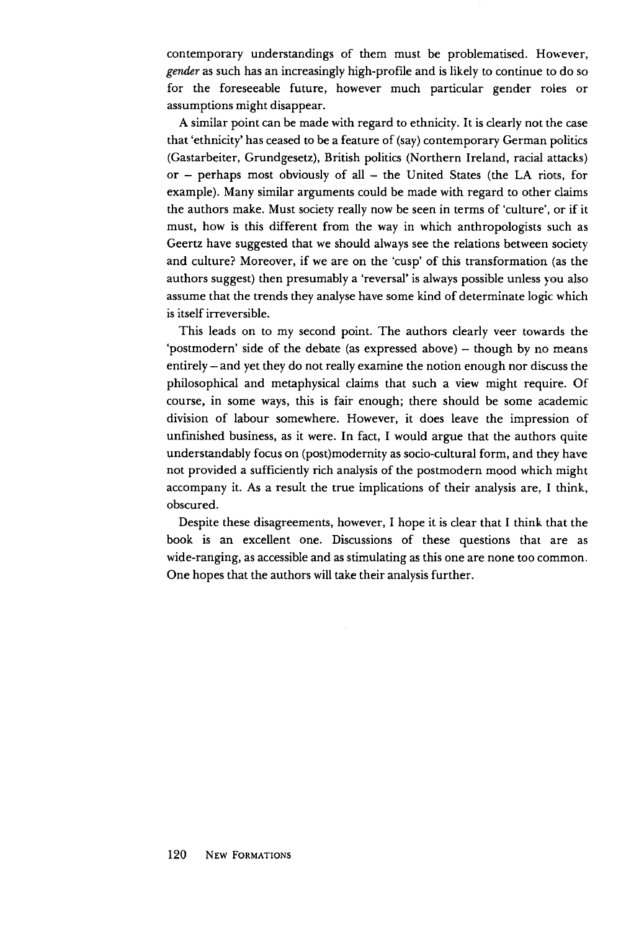*contemporary understandings of them must be problematised. However, genderas such has an increasingly high-profile and is likely to continue to do so for the foreseeable future, however much particular gender roles or assumptions might disappear.*

*A similar point can be made with regard to ethnicity. It is clearly not the case that 'ethnicity' has ceased to be a feature of(say)contemporary German politics (Gastarbeiter, Grundgesetz), British politics (Northern Ireland, racial attacks) or - perhaps most obviously of all - the United States (the LA riots, for example). Many similar arguments could be made with regard to other claims the authors make. Must society really now be seen in terms of 'culture', or if it must, how is this different from the way in which anthropologists such as Geertz have suggested that we should always see the relations between society and culture? Moreover, if we are on the 'cusp' of this transformation (as the authors suggest) then presumably a 'reversal' is always possible unless you also assume that the trends they analyse have some kind of determinate logic which is itselfirreversible.*

*This leads on to my second point. The authors clearly veer towards the 'postmodern' side of the debate (as expressed above) - though by no means entirely - and yet they do not really examine the notion enough nor discuss the philosophical and metaphysical claims that such a view might require. Of course, in some ways, this is fair enough; there should be some academic division of labour somewhere. However, it does leave the impression of unfinished business, as it were. In fact, I would argue that the authors quite understandably focus on (post)modernity as socio-cultural form, and they have not provided a sufficiendy rich analysis of the postmodern mood which might accompany it. As a result the true implications of their analysis are, I think, obscured.*

*Despite these disagreements, however, I hope it is clear that I think that the book is an excellent one. Discussions of these questions that are as wide-ranging, as accessibleand asstimulating as this one are none too common. One hopes that the authors will take their analysis further.*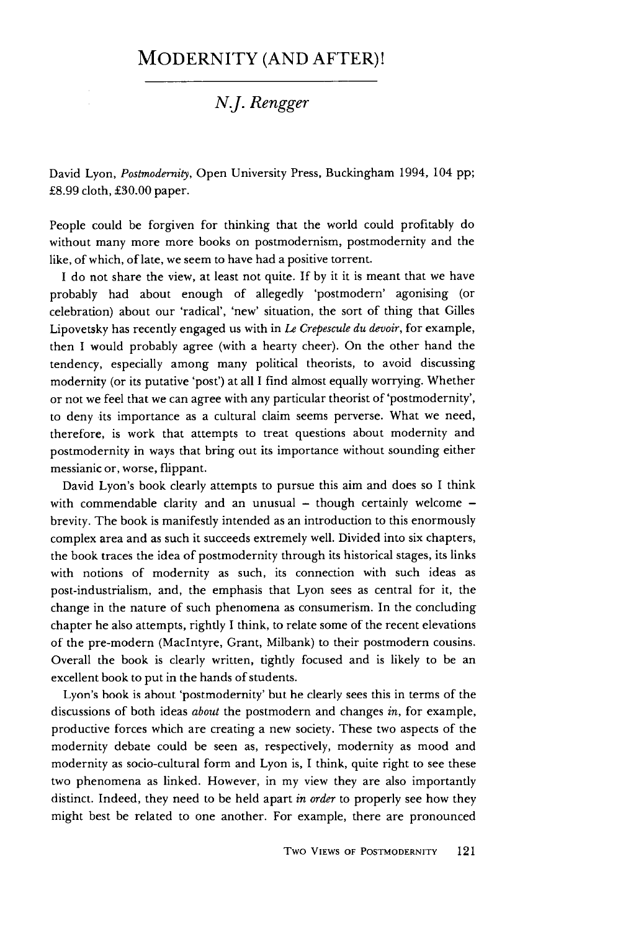### Modernity (and after)!

### **NJ. Rengger**

David Lyon, **Postmodernity,** Open University Press, Buckingham 1994, 104 pp; £8.99 cloth, £30.00 paper.

People could be forgiven for thinking that the world could profitably do without many more more books on postmodernism, postmodernity and the like, of which, oflate, we seem to have had a positive torrent.

I do not share the view, at least not quite. If by it it is meant that we have probably had about enough of allegedly 'postmodern' agonising (or celebration) about our 'radical', 'new' situation, the sort of thing that Gilles Lipovetskyhas recently engaged us with in **Le Crepescule dudevoir,** for example, then I would probably agree (with a hearty cheer). On the other hand the tendency, especially among many political theorists, to avoid discussing modernity (or its putative 'post') at all I find almost equally worrying. Whether or not we feel that we can agree with any particular theorist of 'postmodernity', to deny its importance as a cultural claim seems perverse. What we need, therefore, is work that attempts to treat questions about modernity and postmodernity in ways that bring out its importance without sounding either messianic or, worse, flippant.

David Lyon's book clearly attempts to pursue this aim and does so I think with commendable clarity and an unusual  $-$  though certainly welcome  $$ brevity. The book is manifesdy intended as an introduction to this enormously complex area and as such it succeeds extremely well. Divided into six chapters, the book traces the idea of postmodernity through its historical stages, its links with notions of modernity as such, its connection with such ideas as post-industrialism, and, the emphasis that Lyon sees as central for it, the change in the nature of such phenomena as consumerism. In the concluding chapter he also attempts, rightly I think, to relate some of the recent elevations of the pre-modern (Maclntyre, Grant, Milbank) to their postmodern cousins. Overall the book is clearly written, tightly focused and is likely to be an excellent book to put in the hands of students.

Lyon's book is about 'postmodernity' but he clearly sees this in terms of the discussions of both ideas **about** the postmodern and changes **in,** for example, productive forces which are creating a new society. These two aspects of the modernity debate could be seen as, respectively, modernity as mood and modernity as socio-cultural form and Lyon is, I think, quite right to see these two phenomena as linked. However, in my view they are also importantly distinct. Indeed, they need to be held apart **in order** to properly see how they might best be related to one another. For example, there are pronounced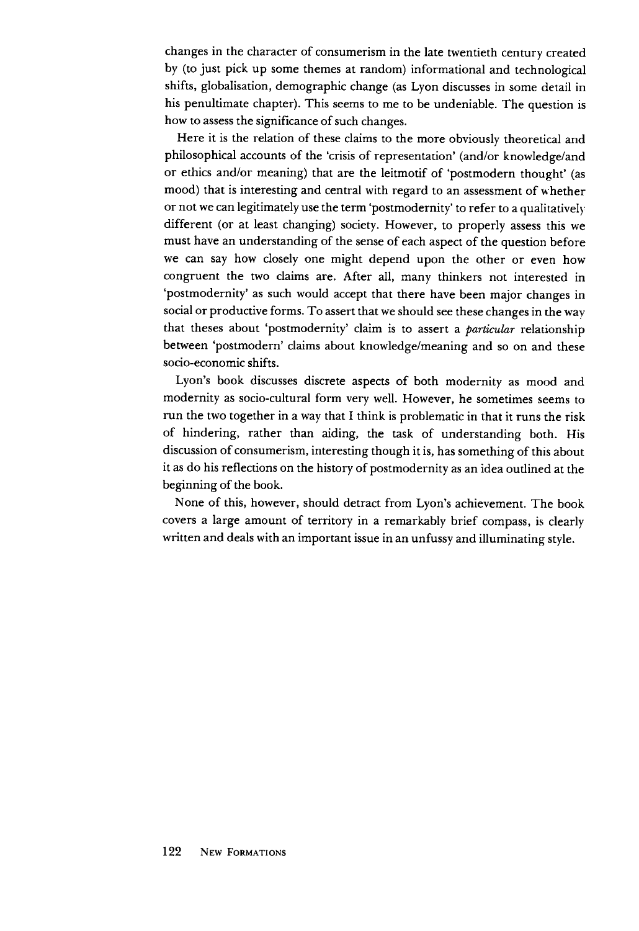changes in the character of consumerism in the late twentieth century created by (to just pick up some themes at random) informational and technological shifts, globalisation, demographic change (as Lyon discusses in some detail in his penultimate chapter). This seems to me to be undeniable. The question is how to assess the significance of such changes.

Here it is the relation of these claims to the more obviously theoretical and philosophical accounts of the 'crisis of representation' (and/or knowledge/and or ethics and/or meaning) that are the leitmotif of 'postmodern thought' (as mood) that is interesting and central with regard to an assessment of whether or not wecan legitimately use the term 'postmodernity' to refer to a qualitatively different (or at least changing) society. However, to properly assess this we must have an understanding of the sense of each aspect of the question before we can say how closely one might depend upon the other or even how congruent the two claims are. After all, many thinkers not interested in 'postmodernity' as such would accept that there have been major changes in social or productive forms. To assert that we should see these changes in the way that theses about 'postmodernity' claim is to assert a **particular** relationship between 'postmodern' claims about knowledge/meaning and so on and these socio-economic shifts.

Lyon's book discusses discrete aspects of both modernity as mood and modernity as socio-cultural form very well. However, he sometimes seems to run the two together in a waythat I think is problematic in that it runs the risk of hindering, rather than aiding, the task of understanding both. His discussion of consumerism, interesting though it is, has something of this about it as do his reflections on the history of postmodernity as an idea oudined at the beginning of the book.

None of this, however, should detract from Lyon's achievement. The book covers a large amount of territory in a remarkably brief compass, is clearly written and deals with an important issue in an unfussy and illuminating style.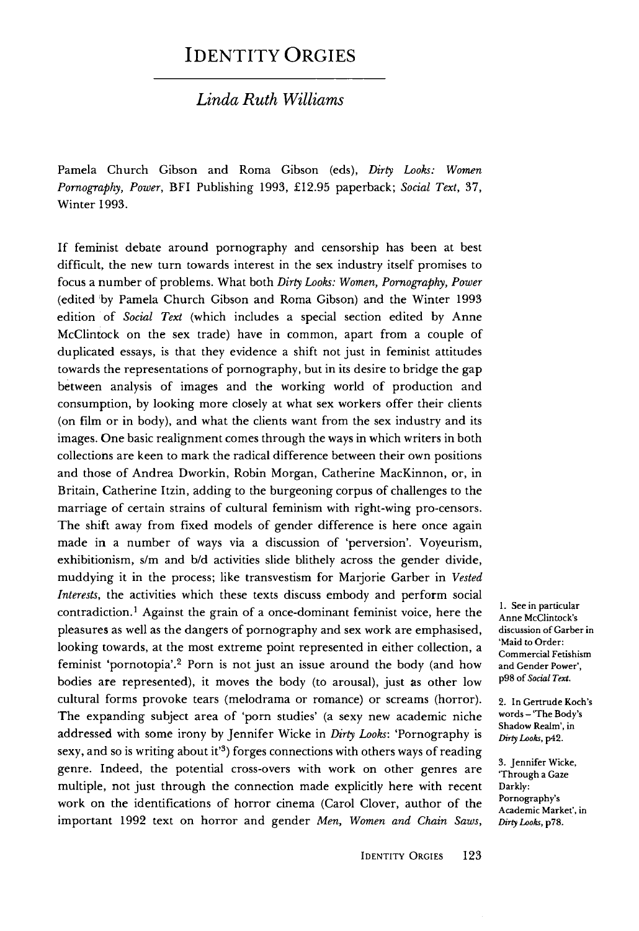## Identity Orgies

#### **Linda Ruth Williams**

Pamela Church Gibson and Roma Gibson (eds), **Dirty Looks: Women Pornogtaphy, Power,** BFI Publishing 1993, £12.95 paperback; **Social Text,** 37, Winter 1993.

If feminist debate around pornography and censorship has been at best difficult, the new turn towards interest in the sex industry itself promises to focus a number of problems. What both **Dirty Looks: Women, Pornography, Power** (edited by Pamela Church Gibson and Roma Gibson) and the Winter 1993 edition of **Social Text** (which includes a special section edited by Anne McClintock on the sex trade) have in common, apart from a couple of duplicated essays, is that they evidence a shift not just in feminist attitudes towards the representations of pornography, but in its desire to bridge the gap between analysis of images and the working world of production and consumption, by looking more closely at what sex workers offer their clients (on film or in body), and what the clients want from the sex industry and its images. One basic realignment comes through the ways in which writers in both collections are keen to mark the radical difference between their own positions and those of Andrea Dworkin, Robin Morgan, Catherine MacKinnon, or, in Britain, Catherine Itzin, adding to the burgeoning corpus of challenges to the marriage of certain strains of cultural feminism with right-wing pro-censors. The shift away from fixed models of gender difference is here once again made in a number of ways via a discussion of 'perversion'. Voyeurism, exhibitionism, s/m and b/d activities slide blithely across the gender divide, muddying it in the process; like transvestism for Marjorie Garber in **Vested Interests,** the activities which these texts discuss embody and perform social contradiction.<sup>1</sup> Against the grain of a once-dominant feminist voice, here the pleasures as well as the dangers of pornography and sex work are emphasised, looking towards, at the most extreme point represented in either collection, a feminist 'pornotopia'.2 Porn is not just an issue around the body (and how bodies are represented), it moves the body (to arousal), just as other low cultural forms provoke tears (melodrama or romance) or screams (horror). The expanding subject area of 'porn studies' (a sexy new academic niche addressed with some irony by Jennifer Wicke in **Dirty Looks:** 'Pornography is sexy, and so is writing about it<sup>3</sup>) forges connections with others ways of reading genre. Indeed, the potential cross-overs with work on other genres are multiple, not just through the connection made explicitly here with recent work on the identifications of horror cinema (Carol Clover, author of the important 1992 text on horror and gender **Men, Women and Chain Saws,**

*1. See in particular Anne McClintock's discussion ofGarber in 'Maid to Order: Commercial Fetishism and Gender Power', p98of SocialText.*

*2. In Gertrude Koch's words - 'The Body's Shadow Realm', in DirtyLooks, p42.*

*3. Jennifer Wicke, 'Through a Gaze Darkly: Pornography's Academic Market', in DirtyLooks, p78.*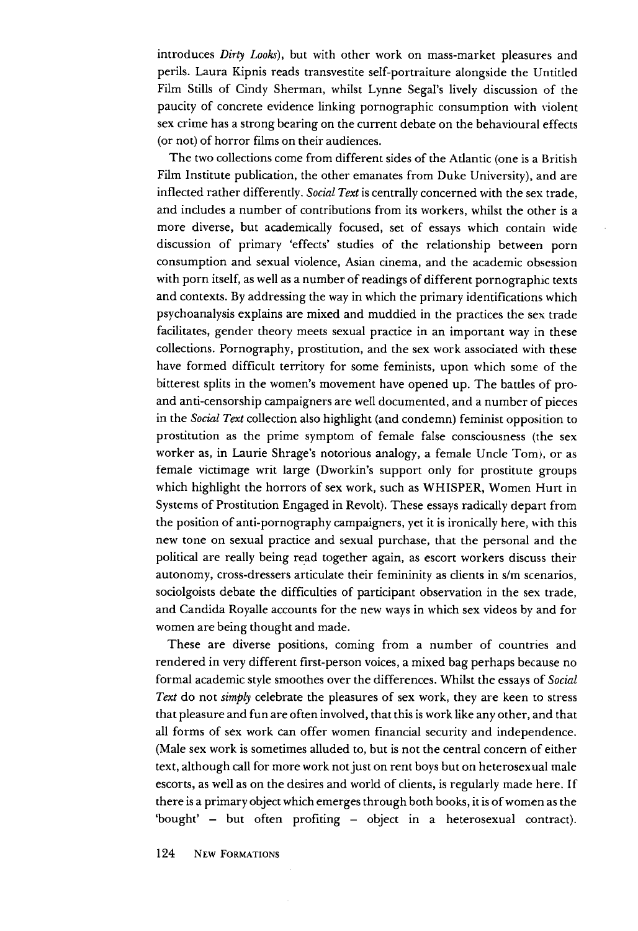introduces **Dirty Looks),** but with other work on mass-market pleasures and perils. Laura Kipnis reads transvestite self-portraiture alongside the Untitled Film Stills of Cindy Sherman, whilst Lynne Segal's lively discussion of the paucity of concrete evidence linking pornographic consumption with violent sex crime has a strong bearing on the current debate on the behavioural effects (or not) of horror films on their audiences.

The two collections come from different sides of the Atlantic (one is a British Film Institute publication, the other emanates from Duke University), and are inflected rather differently. **Social Text** is centrally concerned with the sex trade, and includes a number of contributions from its workers, whilst the other is a more diverse, but academically focused, set of essays which contain wide discussion of primary 'effects' studies of the relationship between porn consumption and sexual violence, Asian cinema, and the academic obsession with porn itself, as well as a number of readings of different pornographic texts and contexts. By addressing the way in which the primary identifications which psychoanalysis explains are mixed and muddied in the practices the sex trade facilitates, gender theory meets sexual practice in an important way in these collections. Pornography, prostitution, and the sex work associated with these have formed difficult territory for some feminists, upon which some of the bitterest splits in the women's movement have opened up. The battles of proand anti-censorship campaigners are well documented, and a number of pieces in the **Social Text** collectionalso highlight (and condemn) feminist opposition to prostitution as the prime symptom of female false consciousness (the sex worker as, in Laurie Shrage's notorious analogy, a female Uncle Tom), or as female victimage writ large (Dworkin's support only for prostitute groups which highlight the horrors of sex work, such as WHISPER, Women Hurt in Systems of Prostitution Engaged in Revolt). These essays radically depart from the position of anti-pornography campaigners, yet it is ironically here, with this new tone on sexual practice and sexual purchase, that the personal and the political are really being read together again, as escort workers discuss their autonomy, cross-dressers articulate their femininity as clients in s/m scenarios, sociolgoists debate the difficulties of participant observation in the sex trade, and Candida Royalle accounts for the new ways in which sex videos by and for women are being thought and made.

These are diverse positions, coming from a number of countries and rendered in very different first-person voices, a mixed bag perhaps because no formal academic style smoothes over the differences. Whilst the essays of **Social Text** do not **simply** celebrate the pleasures of sex work, they are keen to stress that pleasure and fun are often involved, that this iswork like any other, and that all forms of sex work can offer women financial security and independence. (Male sex work is sometimes alluded to, but is not the central concern of either text, although call for more work not just on rent boys but on heterosexual male escorts, as well as on the desires and world of clients, is regularly made here. If there isa primary object which emerges through both books, it isofwomen as the 'bought' - but often profiting - object in a heterosexual contract).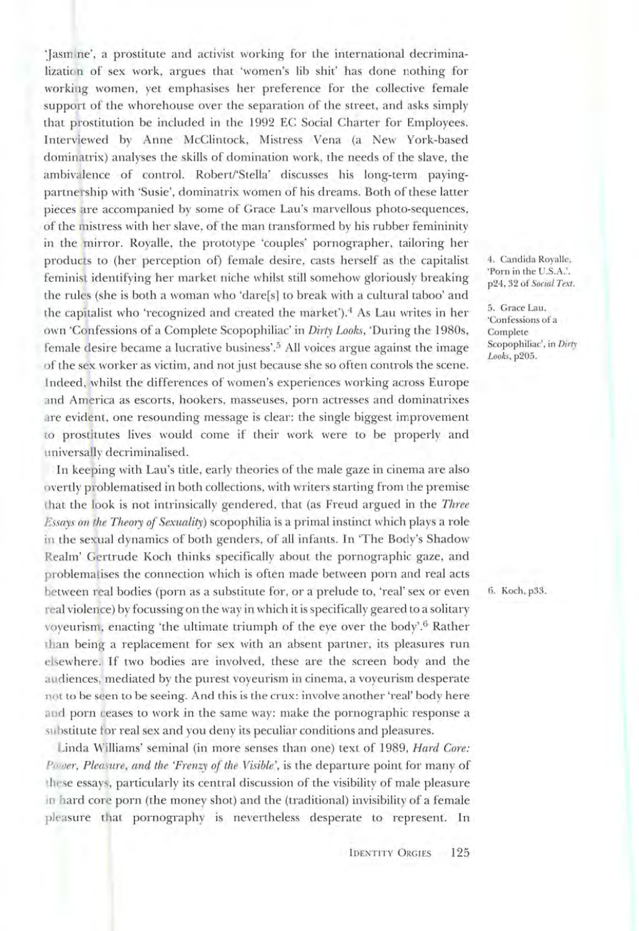'Jasm ne', a prostitute and activist working for the international decrimina lization of sex work, argues that 'women's lib shit' has done nothing for working women, yet emphasises her preference for the collective female support of the whorehouse over the separation of the street, and asks simply that prostitution be included in the 1992 EC Social Charter for Employees. Interviewed by Anne McClintock, Mistress Vena (a New York-based dominatrix) analyses the skills of domination work, the needs of the slave, the ambivalence of control. Robert/'Stella' discusses his long-term payingpartnership with 'Susie', dominatrix women of his dreams. Both of these latter pieces are accompanied by some of Grace Lau's marvellous photo-sequences, of the mistress with her slave, of the man transformed by his rubber femininity in the mirror. Royalle, the prototype 'couples' pornographer, tailoring her products to (her perception of) female desire, casts herself as the capitalist feminist identifying her market niche whilst still somehow gloriously breaking the rules (she is both a woman who 'dare[s] to break with a cultural taboo' and the capitalist who 'recognized and created the market').4 As Lau writes in her own 'Confessions of a Complete Scopophiliac' in **Dirty Loolis,** 'During the 1980s, female desire became a lucrative business'.<sup>5</sup> All voices argue against the image of the sex worker as victim, and not just because she so often controls the scene. Indeed, whilst the differences of women's experiences working across Europe and America as escorts, hookers, masseuses, porn actresses and dominatrixes are evident, one resounding message is clear: the single biggest improvement iO prostitutes lives would come if their work were to be properly and universally decriminalised.

In keeping with Lau's title, early theories of the male gaze in cinema are also overtly problematised in both collections, with writers starting from the premise that the look is not intrinsically gendered, that (as Freud argued in the **Three** Essays on the Theory of Sexuality) scopophilia is a primal instinct which plays a role in the sexual dynamics of both genders, of all infants. In 'The Body's Shadow Realm' Gertrude Koch thinks specifically about the pornographic gaze, and problematises the connection which is often made between porn and real acts between real bodies (porn as a substitute for, or a prelude to, 'real' sex or even real violence) by focussing on the way in which it isspecifically geared to a solitary voyeurism, enacting 'the ultimate triumph of the eye over the body'.<sup>6</sup> Rather than being a replacement for sex with an absent partner, its pleasures run elsewhere. If two bodies are involved, these are the screen body and the audiences, mediated by the purest voyeurism in cinema, a voyeurism desperate not to be seen to be seeing. And this is the crux: involve another 'real' body here and porn ceases to work in the same way: make the pornographic response a substitute for real sex and you deny its peculiar conditions and pleasures.

Linda Williams' seminal (in more senses than one) text of 1989, **Hard Core: Power, Pleasure, and the 'Frenzy of the Visible',** is the departure point for many of these essays, particularly its central discussion of the visibility of male pleasure in hard core porn (the money shot) and the (traditional) invisibility of a female pleasure that pornography is nevertheless desperate to represent. In 4. Candida Royalle. 'Pom in the U.S.A.'. p24,32 of **Social Text.**

5. Grace Lau. 'Confessions of <sup>a</sup> Complete Scopophiliac', in **Dirty** Looks, p<sub>205</sub>.

6. Koch, p33.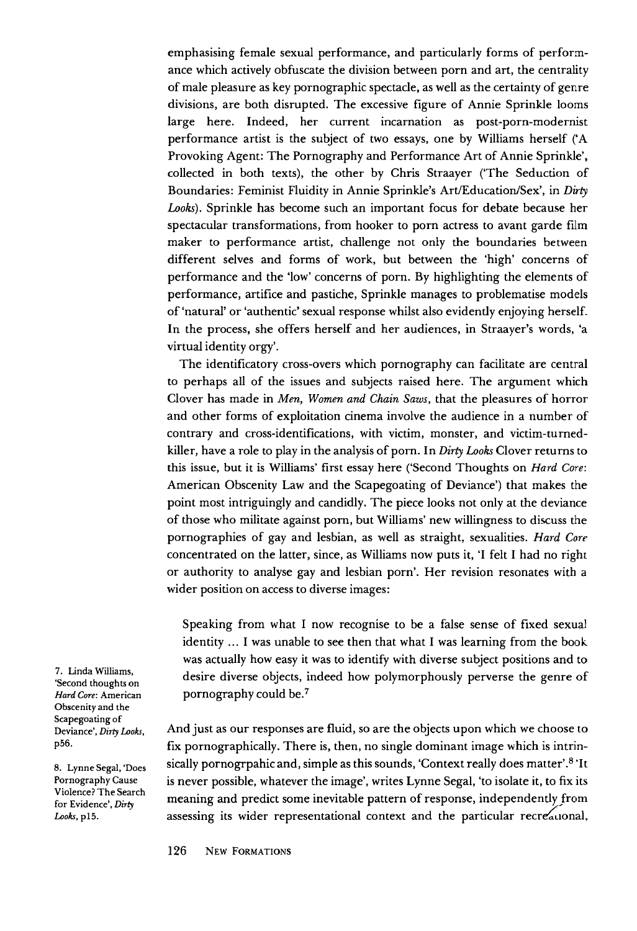emphasising female sexual performance, and particularly forms of perform ance which actively obfuscate the division between porn and art, the centrality of male pleasure as key pornographic spectacle, as well as the certainty of genre divisions, are both disrupted. The excessive figure of Annie Sprinkle looms large here. Indeed, her current incarnation as post-porn-modernist performance artist is the subject of two essays, one by Williams herself ('A Provoking Agent: The Pornography and Performance Art of Annie Sprinkle', collected in both texts), the other by Chris Straayer ('The Seduction of Boundaries: Feminist Fluidity in Annie Sprinkle's Art/Education/Sex', in **Dirty Looks).** Sprinkle has become such an important focus for debate because her spectacular transformations, from hooker to porn actress to avant garde film maker to performance artist, challenge not only the boundaries between different selves and forms of work, but between the 'high' concerns of performance and the 'low' concerns of porn. By highlighting the elements of performance, artifice and pastiche, Sprinkle manages to problematise models of 'natural' or 'authentic' sexual response whilst also evidently enjoying herself. In the process, she offers herself and her audiences, in Straayer's words, 'a virtual identity orgy'.

The identificatory cross-overs which pornography can facilitate are central to perhaps all of the issues and subjects raised here. The argument which Clover has made in **Men, Women and Chain Saws,** that the pleasures of horror and other forms of exploitation cinema involve the audience in a number of contrary and cross-identifications, with victim, monster, and victim-turnedkiller, have a role to play in the analysis of porn. In **Dirty Looks** Clover returns to this issue, but it is Williams' first essay here ('Second Thoughts on **Hard Core:** American Obscenity Law and the Scapegoating of Deviance') that makes the point most intriguingly and candidly. The piece looks not only at the deviance of those who militate against porn, but Williams' new willingness to discuss the pornographies of gay and lesbian, as well as straight, sexualities. **Hard Core** concentrated on the latter, since, as Williams now puts it, 'I felt I had no right or authority to analyse gay and lesbian porn'. Her revision resonates with a wider position on access to diverse images:

Speaking from what I now recognise to be a false sense of fixed sexual identity ... I was unable to see then that what I was learning from the book was actually how easy it was to identify with diverse subject positions and to desire diverse objects, indeed how polymorphously perverse the genre of pornography could be.7

And just as our responses are fluid, so are the objects upon which we choose to fix pornographically. There is, then, no single dominant image which is intrin sically pornogrpahic and, simple as this sounds, 'Context really does matter'.<sup>8</sup> 'It is never possible, whatever the image', writes Lynne Segal, 'to isolate it, to fix its meaning and predict some inevitable pattern of response, independently from assessing its wider representational context and the particular recreational,

*7. Linda Williams, 'Second thoughts on Hard Core: American Obscenity and the Scapegoating of Deviance', DirtyLooks, p56.*

*8. Lynne Segal,'Does Pornography Cause Violence? The Search for Evidence', Dirty Looks, pi5.*